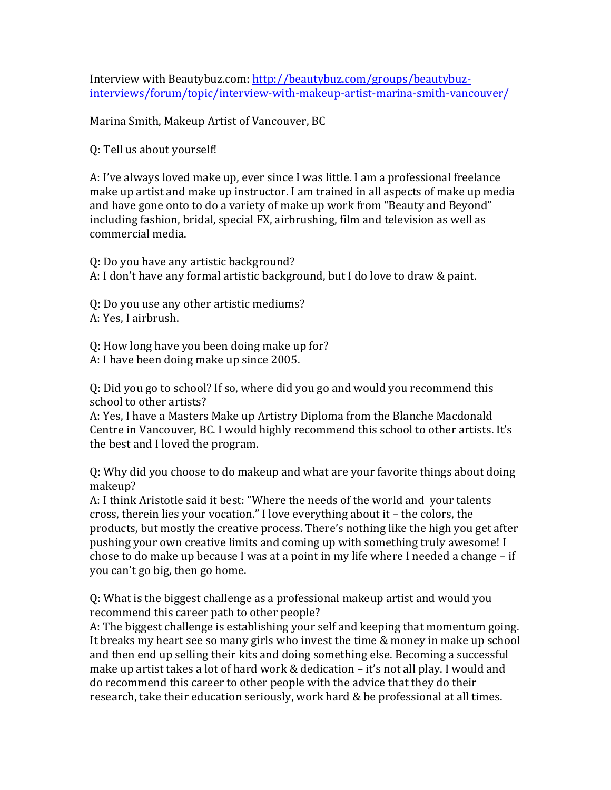Interview with Beautybuz.com: http://beautybuz.com/groups/beautybuzinterviews/forum/topic/interview-with-makeup-artist-marina-smith-vancouver/

Marina Smith, Makeup Artist of Vancouver, BC

Q: Tell us about yourself!

A: I've always loved make up, ever since I was little. I am a professional freelance make up artist and make up instructor. I am trained in all aspects of make up media and have gone onto to do a variety of make up work from "Beauty and Beyond" including fashion, bridal, special FX, airbrushing, film and television as well as commercial media.

Q: Do you have any artistic background? A: I don't have any formal artistic background, but I do love to draw & paint.

Q: Do you use any other artistic mediums? A: Yes, I airbrush.

Q: How long have you been doing make up for? A: I have been doing make up since 2005.

Q: Did you go to school? If so, where did you go and would you recommend this school to other artists?

A: Yes, I have a Masters Make up Artistry Diploma from the Blanche Macdonald Centre in Vancouver, BC. I would highly recommend this school to other artists. It's the best and I loved the program.

Q: Why did you choose to do makeup and what are your favorite things about doing makeup?

A: I think Aristotle said it best: "Where the needs of the world and your talents cross, therein lies your vocation." I love everything about it – the colors, the products, but mostly the creative process. There's nothing like the high you get after pushing your own creative limits and coming up with something truly awesome! I chose to do make up because I was at a point in my life where I needed a change – if you can't go big, then go home.

Q: What is the biggest challenge as a professional makeup artist and would you recommend this career path to other people?

A: The biggest challenge is establishing your self and keeping that momentum going. It breaks my heart see so many girls who invest the time & money in make up school and then end up selling their kits and doing something else. Becoming a successful make up artist takes a lot of hard work & dedication – it's not all play. I would and do recommend this career to other people with the advice that they do their research, take their education seriously, work hard & be professional at all times.